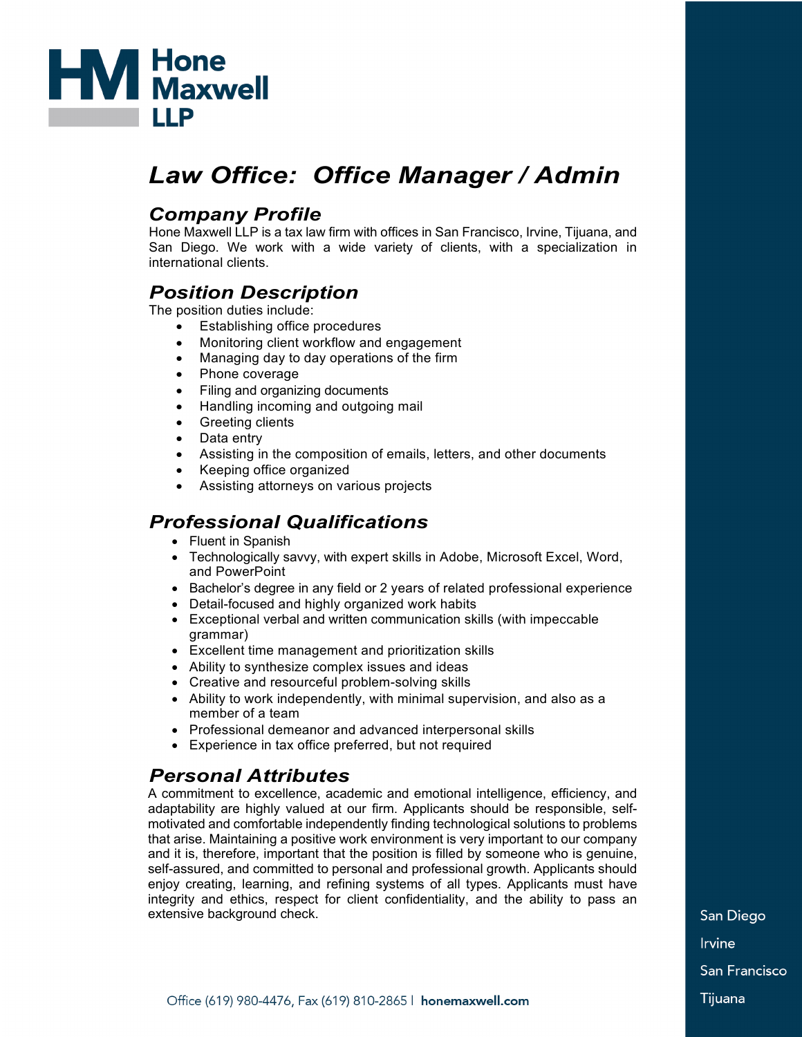

# *Law Office: Office Manager / Admin*

#### *Company Profile*

Hone Maxwell LLP is a tax law firm with offices in San Francisco, Irvine, Tijuana, and San Diego. We work with a wide variety of clients, with a specialization in international clients.

## *Position Description*

The position duties include:

- Establishing office procedures
- Monitoring client workflow and engagement
- Managing day to day operations of the firm
- Phone coverage
- Filing and organizing documents
- Handling incoming and outgoing mail
- Greeting clients
- Data entry
- Assisting in the composition of emails, letters, and other documents
- Keeping office organized
- Assisting attorneys on various projects

# *Professional Qualifications*

- Fluent in Spanish
- Technologically savvy, with expert skills in Adobe, Microsoft Excel, Word, and PowerPoint
- Bachelor's degree in any field or 2 years of related professional experience
- Detail-focused and highly organized work habits
- Exceptional verbal and written communication skills (with impeccable grammar)
- Excellent time management and prioritization skills
- Ability to synthesize complex issues and ideas
- Creative and resourceful problem-solving skills
- Ability to work independently, with minimal supervision, and also as a member of a team
- Professional demeanor and advanced interpersonal skills
- Experience in tax office preferred, but not required

## *Personal Attributes*

A commitment to excellence, academic and emotional intelligence, efficiency, and adaptability are highly valued at our firm. Applicants should be responsible, selfmotivated and comfortable independently finding technological solutions to problems that arise. Maintaining a positive work environment is very important to our company and it is, therefore, important that the position is filled by someone who is genuine, self-assured, and committed to personal and professional growth. Applicants should enjoy creating, learning, and refining systems of all types. Applicants must have integrity and ethics, respect for client confidentiality, and the ability to pass an extensive background check.

San Diego **Irvine** San Francisco Tijuana